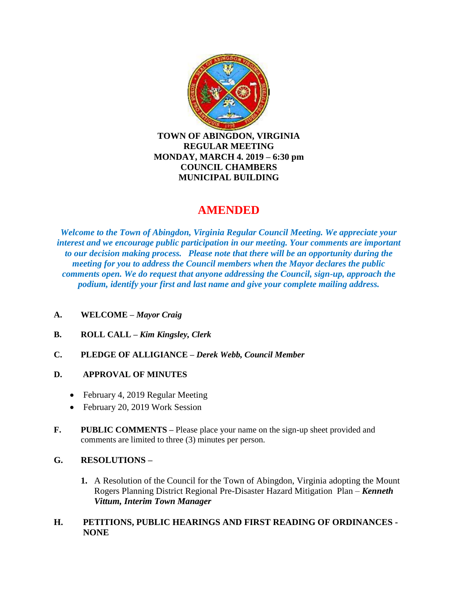

**TOWN OF ABINGDON, VIRGINIA REGULAR MEETING MONDAY, MARCH 4. 2019 – 6:30 pm COUNCIL CHAMBERS MUNICIPAL BUILDING**

# **AMENDED**

*Welcome to the Town of Abingdon, Virginia Regular Council Meeting. We appreciate your interest and we encourage public participation in our meeting. Your comments are important to our decision making process. Please note that there will be an opportunity during the meeting for you to address the Council members when the Mayor declares the public comments open. We do request that anyone addressing the Council, sign-up, approach the podium, identify your first and last name and give your complete mailing address.*

- **A. WELCOME –** *Mayor Craig*
- **B. ROLL CALL –** *Kim Kingsley, Clerk*
- **C. PLEDGE OF ALLIGIANCE –** *Derek Webb, Council Member*
- **D. APPROVAL OF MINUTES** 
	- February 4, 2019 Regular Meeting
	- February 20, 2019 Work Session
- **F. PUBLIC COMMENTS –** Please place your name on the sign-up sheet provided and comments are limited to three (3) minutes per person.

## **G. RESOLUTIONS –**

**1.** A Resolution of the Council for the Town of Abingdon, Virginia adopting the Mount Rogers Planning District Regional Pre-Disaster Hazard Mitigation Plan – *Kenneth Vittum, Interim Town Manager*

### **H. PETITIONS, PUBLIC HEARINGS AND FIRST READING OF ORDINANCES - NONE**